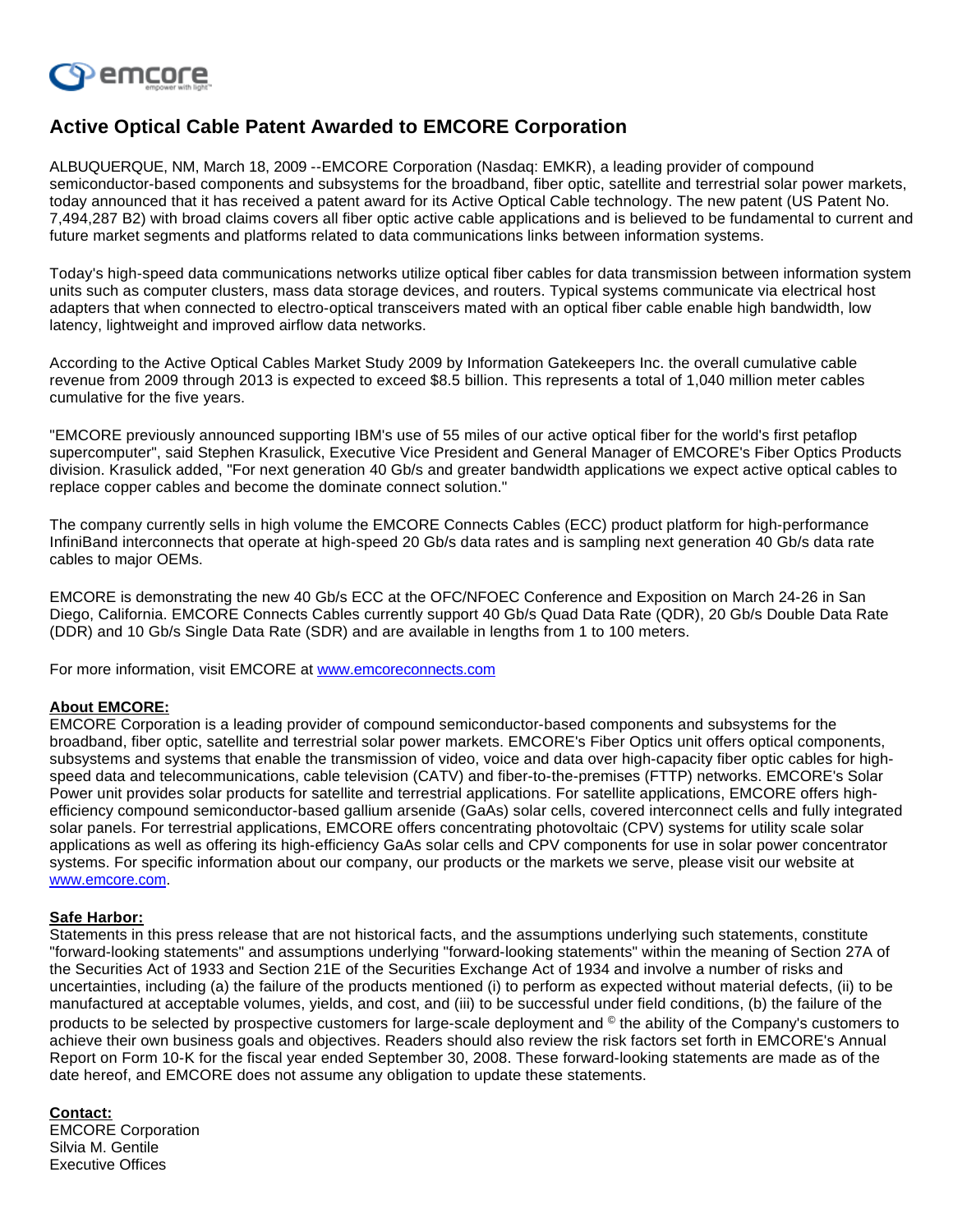

## **Active Optical Cable Patent Awarded to EMCORE Corporation**

ALBUQUERQUE, NM, March 18, 2009 --EMCORE Corporation (Nasdaq: EMKR), a leading provider of compound semiconductor-based components and subsystems for the broadband, fiber optic, satellite and terrestrial solar power markets, today announced that it has received a patent award for its Active Optical Cable technology. The new patent (US Patent No. 7,494,287 B2) with broad claims covers all fiber optic active cable applications and is believed to be fundamental to current and future market segments and platforms related to data communications links between information systems.

Today's high-speed data communications networks utilize optical fiber cables for data transmission between information system units such as computer clusters, mass data storage devices, and routers. Typical systems communicate via electrical host adapters that when connected to electro-optical transceivers mated with an optical fiber cable enable high bandwidth, low latency, lightweight and improved airflow data networks.

According to the Active Optical Cables Market Study 2009 by Information Gatekeepers Inc. the overall cumulative cable revenue from 2009 through 2013 is expected to exceed \$8.5 billion. This represents a total of 1,040 million meter cables cumulative for the five years.

"EMCORE previously announced supporting IBM's use of 55 miles of our active optical fiber for the world's first petaflop supercomputer", said Stephen Krasulick, Executive Vice President and General Manager of EMCORE's Fiber Optics Products division. Krasulick added, "For next generation 40 Gb/s and greater bandwidth applications we expect active optical cables to replace copper cables and become the dominate connect solution."

The company currently sells in high volume the EMCORE Connects Cables (ECC) product platform for high-performance InfiniBand interconnects that operate at high-speed 20 Gb/s data rates and is sampling next generation 40 Gb/s data rate cables to major OEMs.

EMCORE is demonstrating the new 40 Gb/s ECC at the OFC/NFOEC Conference and Exposition on March 24-26 in San Diego, California. EMCORE Connects Cables currently support 40 Gb/s Quad Data Rate (QDR), 20 Gb/s Double Data Rate (DDR) and 10 Gb/s Single Data Rate (SDR) and are available in lengths from 1 to 100 meters.

For more information, visit EMCORE at [www.emcoreconnects.com](http://investor.shareholder.com/common/pdfnew/www.emcoreconnects.com)

## **About EMCORE:**

EMCORE Corporation is a leading provider of compound semiconductor-based components and subsystems for the broadband, fiber optic, satellite and terrestrial solar power markets. EMCORE's Fiber Optics unit offers optical components, subsystems and systems that enable the transmission of video, voice and data over high-capacity fiber optic cables for highspeed data and telecommunications, cable television (CATV) and fiber-to-the-premises (FTTP) networks. EMCORE's Solar Power unit provides solar products for satellite and terrestrial applications. For satellite applications, EMCORE offers highefficiency compound semiconductor-based gallium arsenide (GaAs) solar cells, covered interconnect cells and fully integrated solar panels. For terrestrial applications, EMCORE offers concentrating photovoltaic (CPV) systems for utility scale solar applications as well as offering its high-efficiency GaAs solar cells and CPV components for use in solar power concentrator systems. For specific information about our company, our products or the markets we serve, please visit our website at [www.emcore.com.](http://investor.shareholder.com/common/pdfnew/www.emcoreconnects.com)

## **Safe Harbor:**

Statements in this press release that are not historical facts, and the assumptions underlying such statements, constitute "forward-looking statements" and assumptions underlying "forward-looking statements" within the meaning of Section 27A of the Securities Act of 1933 and Section 21E of the Securities Exchange Act of 1934 and involve a number of risks and uncertainties, including (a) the failure of the products mentioned (i) to perform as expected without material defects, (ii) to be manufactured at acceptable volumes, yields, and cost, and (iii) to be successful under field conditions, (b) the failure of the products to be selected by prospective customers for large-scale deployment and © the ability of the Company's customers to achieve their own business goals and objectives. Readers should also review the risk factors set forth in EMCORE's Annual Report on Form 10-K for the fiscal year ended September 30, 2008. These forward-looking statements are made as of the date hereof, and EMCORE does not assume any obligation to update these statements.

## **Contact:**

EMCORE Corporation Silvia M. Gentile Executive Offices